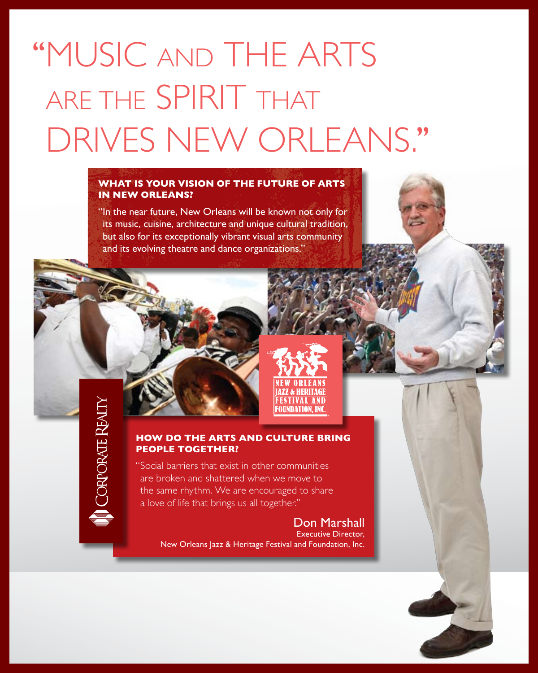# ''Music and the arts ARE THE SPIRIT THAT drives New Orleans.''

## **What is your vision of the future of arts in New Orleans?**

"In the near future, New Orleans will be known not only for its music, cuisine, architecture and unique cultural tradition, but also for its exceptionally vibrant visual arts community and its evolving theatre and dance organizations."



**CORPORATE REALTY** 

# **How do the arts and culture bring people together?**

"Social barriers that exist in other communities are broken and shattered when we move to the same rhythm. We are encouraged to share a love of life that brings us all together."

> Don Marshall Executive Director, New Orleans Jazz & Heritage Festival and Foundation, Inc.

AINDATION